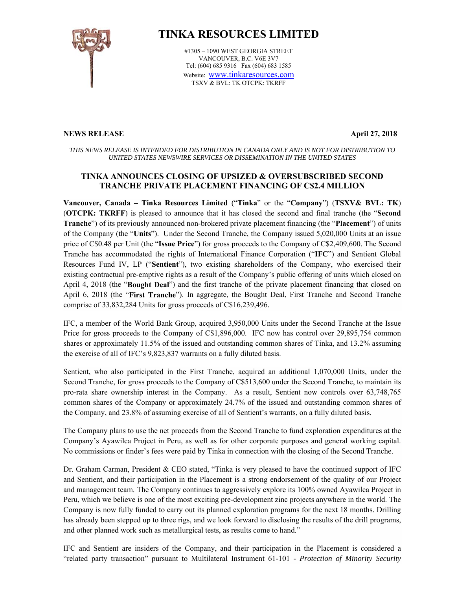

# **TINKA RESOURCES LIMITED**

#1305 – 1090 WEST GEORGIA STREET VANCOUVER, B.C. V6E 3V7 Tel: (604) 685 9316 Fax (604) 683 1585 Website: www.tinkaresources.com TSXV & BVL: TK OTCPK: TKRFF

### **NEWS RELEASE April 27, 2018**

*THIS NEWS RELEASE IS INTENDED FOR DISTRIBUTION IN CANADA ONLY AND IS NOT FOR DISTRIBUTION TO UNITED STATES NEWSWIRE SERVICES OR DISSEMINATION IN THE UNITED STATES* 

## **TINKA ANNOUNCES CLOSING OF UPSIZED & OVERSUBSCRIBED SECOND TRANCHE PRIVATE PLACEMENT FINANCING OF C\$2.4 MILLION**

**Vancouver, Canada – Tinka Resources Limited** ("**Tinka**" or the "**Company**") (**TSXV& BVL: TK**) (**OTCPK: TKRFF**) is pleased to announce that it has closed the second and final tranche (the "**Second Tranche**") of its previously announced non-brokered private placement financing (the "**Placement**") of units of the Company (the "**Units**"). Under the Second Tranche, the Company issued 5,020,000 Units at an issue price of C\$0.48 per Unit (the "**Issue Price**") for gross proceeds to the Company of C\$2,409,600. The Second Tranche has accommodated the rights of International Finance Corporation ("**IFC**") and Sentient Global Resources Fund IV, LP ("**Sentient**"), two existing shareholders of the Company, who exercised their existing contractual pre-emptive rights as a result of the Company's public offering of units which closed on April 4, 2018 (the "**Bought Deal**") and the first tranche of the private placement financing that closed on April 6, 2018 (the "**First Tranche**"). In aggregate, the Bought Deal, First Tranche and Second Tranche comprise of 33,832,284 Units for gross proceeds of C\$16,239,496.

IFC, a member of the World Bank Group, acquired 3,950,000 Units under the Second Tranche at the Issue Price for gross proceeds to the Company of C\$1,896,000. IFC now has control over 29,895,754 common shares or approximately 11.5% of the issued and outstanding common shares of Tinka, and 13.2% assuming the exercise of all of IFC's 9,823,837 warrants on a fully diluted basis.

Sentient, who also participated in the First Tranche, acquired an additional 1,070,000 Units, under the Second Tranche, for gross proceeds to the Company of C\$513,600 under the Second Tranche, to maintain its pro-rata share ownership interest in the Company. As a result, Sentient now controls over 63,748,765 common shares of the Company or approximately 24.7% of the issued and outstanding common shares of the Company, and 23.8% of assuming exercise of all of Sentient's warrants, on a fully diluted basis.

The Company plans to use the net proceeds from the Second Tranche to fund exploration expenditures at the Company's Ayawilca Project in Peru, as well as for other corporate purposes and general working capital. No commissions or finder's fees were paid by Tinka in connection with the closing of the Second Tranche.

Dr. Graham Carman, President & CEO stated, "Tinka is very pleased to have the continued support of IFC and Sentient, and their participation in the Placement is a strong endorsement of the quality of our Project and management team. The Company continues to aggressively explore its 100% owned Ayawilca Project in Peru, which we believe is one of the most exciting pre-development zinc projects anywhere in the world. The Company is now fully funded to carry out its planned exploration programs for the next 18 months. Drilling has already been stepped up to three rigs, and we look forward to disclosing the results of the drill programs, and other planned work such as metallurgical tests, as results come to hand."

IFC and Sentient are insiders of the Company, and their participation in the Placement is considered a "related party transaction" pursuant to Multilateral Instrument 61-101 - *Protection of Minority Security*